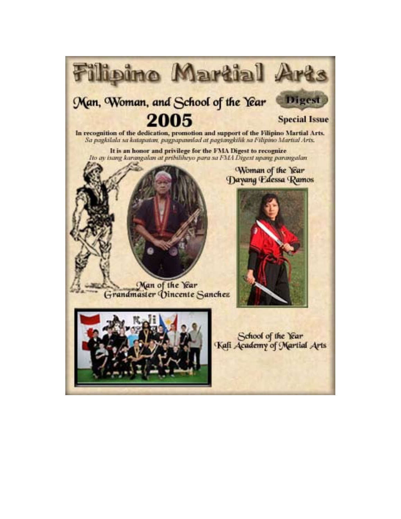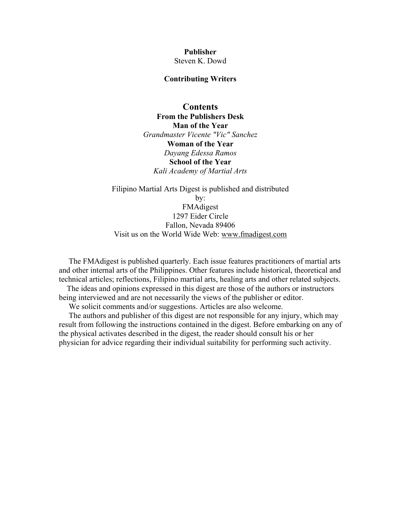### **Publisher**  Steven K. Dowd

#### **Contributing Writers**

**Contents [From the Publishers Desk](#page-2-0) [Man of the Year](#page-3-0)** *Grandmaster Vicente "Vic" Sanchez*  **[Woman of the Year](#page-5-0)** *Dayang Edessa Ramos*  **[School of the Year](#page-6-0)** *Kali Academy of Martial Arts* 

Filipino Martial Arts Digest is published and distributed by: FMAdigest 1297 Eider Circle Fallon, Nevada 89406 Visit us on the World Wide Web: [www.fmadigest.com](http://www.fmadigest.com/)

 The FMAdigest is published quarterly. Each issue features practitioners of martial arts and other internal arts of the Philippines. Other features include historical, theoretical and technical articles; reflections, Filipino martial arts, healing arts and other related subjects.

 The ideas and opinions expressed in this digest are those of the authors or instructors being interviewed and are not necessarily the views of the publisher or editor.

We solicit comments and/or suggestions. Articles are also welcome.

 The authors and publisher of this digest are not responsible for any injury, which may result from following the instructions contained in the digest. Before embarking on any of the physical activates described in the digest, the reader should consult his or her physician for advice regarding their individual suitability for performing such activity.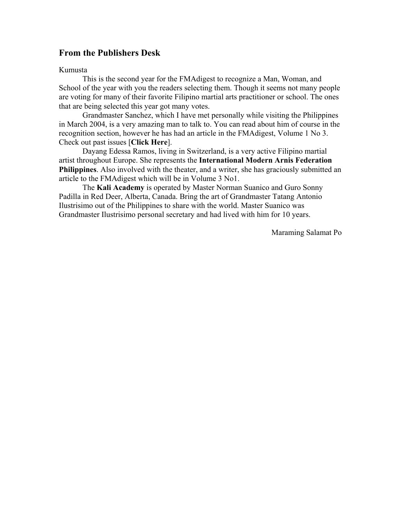## <span id="page-2-0"></span>**From the Publishers Desk**

### Kumusta

This is the second year for the FMAdigest to recognize a Man, Woman, and School of the year with you the readers selecting them. Though it seems not many people are voting for many of their favorite Filipino martial arts practitioner or school. The ones that are being selected this year got many votes.

Grandmaster Sanchez, which I have met personally while visiting the Philippines in March 2004, is a very amazing man to talk to. You can read about him of course in the recognition section, however he has had an article in the FMAdigest, Volume 1 No 3. Check out past issues [**[Click Here](http://www.fmadigest.com/Issues/past_issues/past_issues-vol1.html)**].

Dayang Edessa Ramos, living in Switzerland, is a very active Filipino martial artist throughout Europe. She represents the **[International Modern Arnis Federation](http://www.imafp.com/)  [Philippines](http://www.imafp.com/)**. Also involved with the theater, and a writer, she has graciously submitted an article to the FMAdigest which will be in Volume 3 No1.

The **[Kali Academy](http://www.kaliacademy.net/)** is operated by Master Norman Suanico and Guro Sonny Padilla in Red Deer, Alberta, Canada. Bring the art of Grandmaster Tatang Antonio Ilustrisimo out of the Philippines to share with the world. Master Suanico was Grandmaster Ilustrisimo personal secretary and had lived with him for 10 years.

Maraming Salamat Po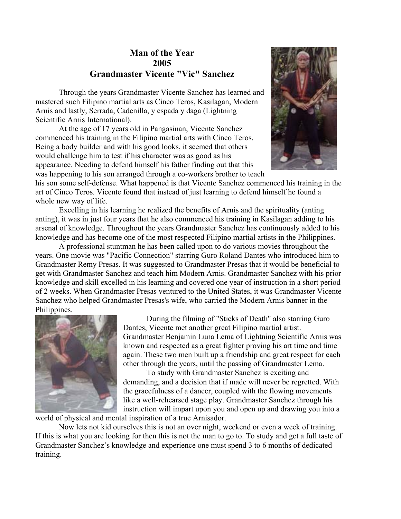# **Man of the Year 2005 Grandmaster Vicente "Vic" Sanchez**

<span id="page-3-0"></span>Through the years Grandmaster Vicente Sanchez has learned and mastered such Filipino martial arts as Cinco Teros, Kasilagan, Modern Arnis and lastly, Serrada, Cadenilla, y espada y daga (Lightning Scientific Arnis International).

At the age of 17 years old in Pangasinan, Vicente Sanchez commenced his training in the Filipino martial arts with Cinco Teros. Being a body builder and with his good looks, it seemed that others would challenge him to test if his character was as good as his appearance. Needing to defend himself his father finding out that this was happening to his son arranged through a co-workers brother to teach



his son some self-defense. What happened is that Vicente Sanchez commenced his training in the art of Cinco Teros. Vicente found that instead of just learning to defend himself he found a whole new way of life.

Excelling in his learning he realized the benefits of Arnis and the spirituality (anting anting), it was in just four years that he also commenced his training in Kasilagan adding to his arsenal of knowledge. Throughout the years Grandmaster Sanchez has continuously added to his knowledge and has become one of the most respected Filipino martial artists in the Philippines.

A professional stuntman he has been called upon to do various movies throughout the years. One movie was "Pacific Connection" starring Guro Roland Dantes who introduced him to Grandmaster Remy Presas. It was suggested to Grandmaster Presas that it would be beneficial to get with Grandmaster Sanchez and teach him Modern Arnis. Grandmaster Sanchez with his prior knowledge and skill excelled in his learning and covered one year of instruction in a short period of 2 weeks. When Grandmaster Presas ventured to the United States, it was Grandmaster Vicente Sanchez who helped Grandmaster Presas's wife, who carried the Modern Arnis banner in the Philippines.



During the filming of "Sticks of Death" also starring Guro Dantes, Vicente met another great Filipino martial artist. Grandmaster Benjamin Luna Lema of Lightning Scientific Arnis was known and respected as a great fighter proving his art time and time again. These two men built up a friendship and great respect for each other through the years, until the passing of Grandmaster Lema.

To study with Grandmaster Sanchez is exciting and demanding, and a decision that if made will never be regretted. With the gracefulness of a dancer, coupled with the flowing movements like a well-rehearsed stage play. Grandmaster Sanchez through his instruction will impart upon you and open up and drawing you into a

world of physical and mental inspiration of a true Arnisador.

Now lets not kid ourselves this is not an over night, weekend or even a week of training. If this is what you are looking for then this is not the man to go to. To study and get a full taste of Grandmaster Sanchez's knowledge and experience one must spend 3 to 6 months of dedicated training.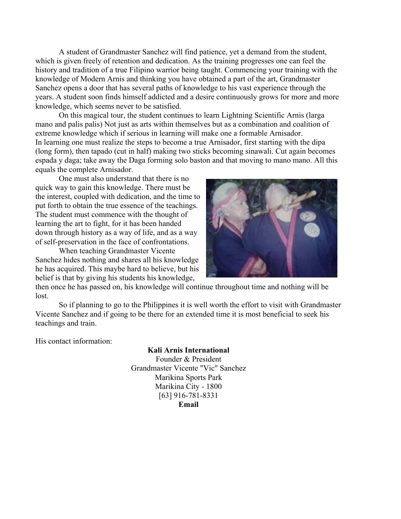A student of Grandmaster Sanchez will find patience, yet a demand from the student, which is given freely of retention and dedication. As the training progresses one can feel the history and tradition of a true Filipino warrior being taught. Commencing your training with the knowledge of Modern Arnis and thinking you have obtained a part of the art, Grandmaster Sanchez opens a door that has several paths of knowledge to his vast experience through the years. A student soon finds himself addicted and a desire continuously grows for more and more knowledge, which seems never to be satisfied.

On this magical tour, the student continues to learn Lightning Scientific Arnis (larga mano and palis palis) Not just as arts within themselves but as a combination and coalition of extreme knowledge which if serious in learning will make one a formable Arnisador. In learning one must realize the steps to become a true Arnisador, first starting with the dipa (long form), then tapado (cut in half) making two sticks becoming sinawali. Cut again becomes espada y daga; take away the Daga forming solo baston and that moving to mano mano. All this equals the complete Arnisador.

One must also understand that there is no quick way to gain this knowledge. There must be the interest, coupled with dedication, and the time t o put forth to obtain the true essence of the teac hings. The student must commence with the thought of learning the art to fight, for it has been handed down through history as a way of life, and as a way of self-preservation in the face of confrontat ions.

When tea ching Grandmaster Vicente Sanchez hides nothing and shares all his knowledge he has acquired. This maybe hard to believe, but his belief is that by giving his students his knowledge,



then once he has passed on, his knowledge will continue throughout time and nothing will be lost.

So if planning to go to the Philippines it is well worth the effort to visit with Grandmaster Vicente Sanchez and if going to be there for an extended time it is most beneficial to seek his teachings and train.

His contact information:

#### **Kali Arnis International**

Founder & President Grandmaster Vicente "Vic" Sanchez Marikina Sports Park Marikina City - 1800 [63] 916-781-8331 **[Email](mailto:kali_arnis_intl@yahoo.com)**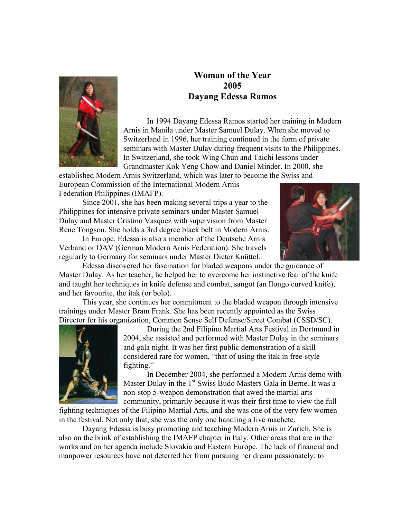<span id="page-5-0"></span>

# **Woman of the Year 2005 Dayang Edessa Ramos**

In 1994 Dayang Edessa Ramos started her training in Modern Arnis in Manila under Master Samuel Dulay. When she moved to Switzerland in 1996, her training continued in the form of private seminars with Master Dulay during frequent visits to the Philippines. In Switzerland, she took Wing Chun and Taichi lessons under Grandmaster Kok Yeng Chow and Daniel Minder. In 2000, she

established Modern Arnis Switzerland, which was later to become the Swiss and

European Commission of the International Modern Arnis Federation Philippines (IMAFP).

Since 2001, she has been making several trips a year to the Philippines for intensive private seminars under Master Samuel Dulay and Master Cristino Vasquez with supervision from Master Rene Tongson. She holds a 3rd degree black belt in Modern Arnis.

In Europe, Edessa is also a member of the Deutsche Arnis Verband or DAV (German Modern Arnis Federation). She travels regularly to Germany for seminars under Master Dieter Knüttel.



Edessa discovered her fascination for bladed weapons under the guidance of Master Dulay. As her teacher, he helped her to overcome her instinctive fear of the knife and taught her techniques in knife defense and combat, sangot (an Ilongo curved knife), and her favourite, the itak (or bolo).

This year, she continues her commitment to the bladed weapon through intensive trainings under Master Bram Frank. She has been recently appointed as the Swiss Director for his organization, Common Sense Self Defense/Street Combat (CSSD/SC).



During the 2nd Filipino Martial Arts Festival in Dortmund in 2004, s he assisted and performed with Master Dulay in the seminars and gala night. It was her first public demonstration of a skill considered rare for women, "that of using the itak in free-style fighting."

In December 2004, she performed a Modern Arnis demo with Master Dulay in the 1<sup>st</sup> Swiss Budo Masters Gala in Berne. It was a non-stop 5-weapon demonstration that awed the martial arts community, primarily because it was their first time to view the full

fighting techniques of the Filipino Martial Arts, and she was one of the very few women in the festival. Not only that, she was the only one handling a live machete.

Dayang Edessa is busy promoting and teaching Modern Arnis in Zurich. She is also on the brink of establishing the IMAFP chapter in Italy. Other areas that are in the works and on her agenda include Slovakia and Eastern Europe. The lack of financial and manpower resources have not deterred her from pursuing her dream passionately: to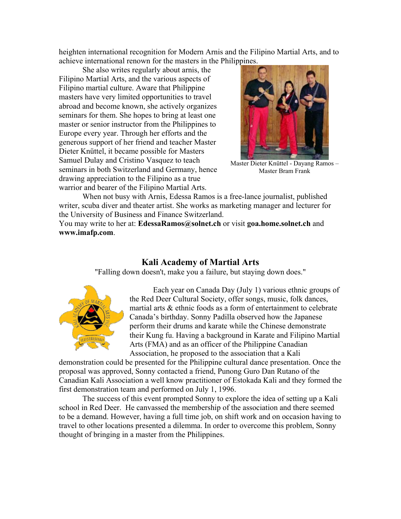<span id="page-6-0"></span>heighten international recognition for Modern Arnis and the Filipino Martial Arts, and to achieve international renown for the masters in the Philippines.

She also writes regularly about arnis, the Filipino Martial Arts, and the various aspects of Filipino martial culture. Aware that Philippine masters have very limited opportunities to travel abroad and become known, she actively organizes seminars for them. She hopes to bring at least one master or senior instructor from the Philippines to Europe every year. Through her efforts and the generous support of her friend and teacher Master Dieter Knüttel, it became possible for Masters Samuel Dulay and Cristino Vasquez to teach seminars in both Switzerland and Germany, hence drawing appreciation to the Filipino as a true warrior and bearer of the Filipino Martial Arts.



Master Dieter Knüttel - Dayang Ramos – Master Bram Frank

When not busy with Arnis, Edessa Ramos is a free-lance journalist, published writer, scuba diver and theater artist. She works as marketing manager and lecturer for the University of Business and Finance Switzerland.

You may write to her at: **[EdessaRamos@solnet.ch](mailto:EdessaRamos@solnet.ch)** or visit **[goa.home.solnet.ch](http://goa.home.solnet.ch/)** and **[www.imafp.com](http://www.imafp.com/)**.

### **Kali Academy of Martial Arts**

"Falling down doesn't, make you a failure, but staying down does."



Each year on Canada Day (July 1) various ethnic groups of the Red Deer Cultural Society, offer songs, music, folk dances, martial arts & ethnic foods as a form of entertainment to celebrate Canada's birthday. Sonny Padilla observed how the Japanese perform their drums and karate while the Chinese demonstrate their Kung fu. Having a background in Karate and Filipino Martial Arts (FMA) and as an officer of the Philippine Canadian Association, he proposed to the association that a Kali

demonstration could be presented for the Philippine cultural dance presentation. Once the proposal was approved, Sonny contacted a friend, Punong Guro Dan Rutano of the Canadian Kali Association a well know practitioner of Estokada Kali and they formed the first demonstration team and performed on July 1, 1996.

The success of this event prompted Sonny to explore the idea of setting up a Kali school in Red Deer. He canvassed the membership of the association and there seemed to be a demand. However, having a full time job, on shift work and on occasion having to travel to other locations presented a dilemma. In order to overcome this problem, Sonny thought of bringing in a master from the Philippines.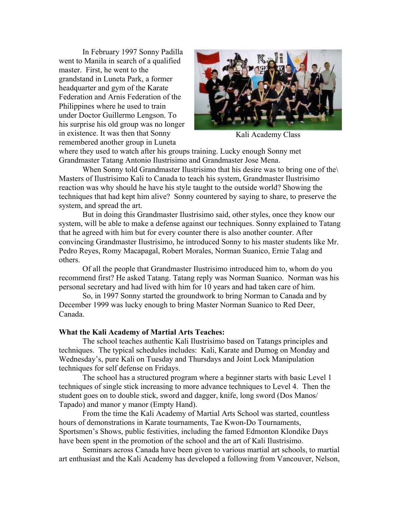In February 1997 Sonny Padilla went to Manila in search of a qualified master. First, he went to the grandstand in Luneta Park, a former headquarter and gym of the Karate Federation and Arnis Federation of the Philippines where he used to train under Doctor Guillermo Lengson. To his surprise his old group was no longer in existence. It was then that Sonny remembered another group in Luneta



Kali Academy Class

where they used to watch after his groups training. Lucky enough Sonny met Grandmaster Tatang Antonio Ilustrisimo and Grandmaster Jose Mena.

When Sonny told Grandmaster Ilustrisimo that his desire was to bring one of the Masters of Ilustrisimo Kali to Canada to teach his system, Grandmaster Ilustrisimo reaction was why should he have his style taught to the outside world? Showing the techniques that had kept him alive? Sonny countered by saying to share, to preserve the system, and spread the art.

But in doing this Grandmaster Ilustrisimo said, other styles, once they know our system, will be able to make a defense against our techniques. Sonny explained to Tatang that he agreed with him but for every counter there is also another counter. After convincing Grandmaster Ilustrisimo, he introduced Sonny to his master students like Mr. Pedro Reyes, Romy Macapagal, Robert Morales, Norman Suanico, Ernie Talag and others.

Of all the people that Grandmaster Ilustrisimo introduced him to, whom do you recommend first? He asked Tatang. Tatang reply was Norman Suanico. Norman was his personal secretary and had lived with him for 10 years and had taken care of him.

So, in 1997 Sonny started the groundwork to bring Norman to Canada and by December 1999 was lucky enough to bring Master Norman Suanico to Red Deer, Canada.

### **What the Kali Academy of Martial Arts Teaches:**

The school teaches authentic Kali Ilustrisimo based on Tatangs principles and techniques. The typical schedules includes: Kali, Karate and Dumog on Monday and Wednesday's, pure Kali on Tuesday and Thursdays and Joint Lock Manipulation techniques for self defense on Fridays.

The school has a structured program where a beginner starts with basic Level 1 techniques of single stick increasing to more advance techniques to Level 4. Then the student goes on to double stick, sword and dagger, knife, long sword (Dos Manos/ Tapado) and manor y manor (Empty Hand).

From the time the Kali Academy of Martial Arts School was started, countless hours of demonstrations in Karate tournaments, Tae Kwon-Do Tournaments, Sportsmen's Shows, public festivities, including the famed Edmonton Klondike Days have been spent in the promotion of the school and the art of Kali Ilustrisimo.

Seminars across Canada have been given to various martial art schools, to martial art enthusiast and the Kali Academy has developed a following from Vancouver, Nelson,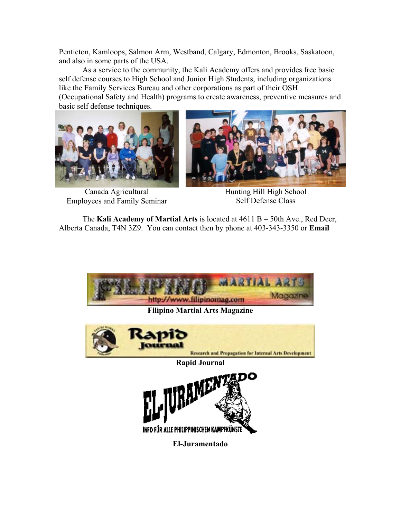Penticton, Kamloops, Salmon Arm, Westband, Calgary, Edmonton, Brooks, Saskatoon, and also in some parts of the USA.

As a service to the community, the Kali Academy offers and provides free basic self defense courses to High School and Junior High Students, including organizations like the Family Services Bureau and other corporations as part of their OSH (Occupational Safety and Health) programs to create awareness, preventive measures and basic self defense techniques.



Canada Agricultural Employees and Family Seminar



Hunting Hill High School Self Defense Class

The **[Kali Academy of Martial Arts](http://www.kaliacademy.net/)** is located at 4611 B – 50th Ave., Red Deer, Alberta Canada, T4N 3Z9. You can contact then by phone at 403-343-3350 or **[Email](mailto:info@kaliacademy.net)**